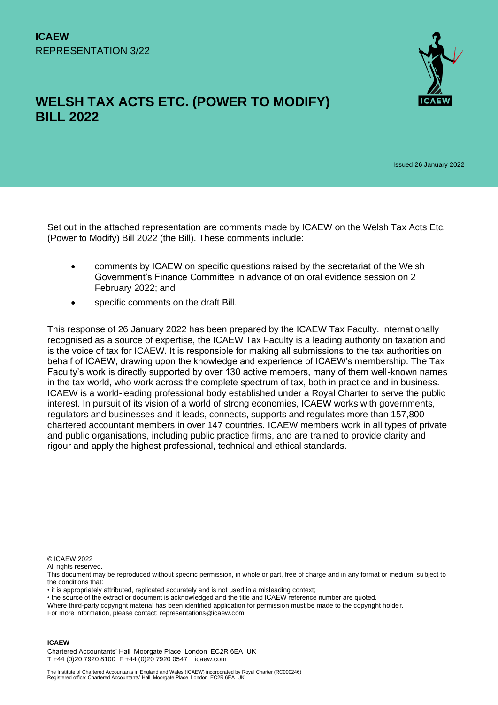

# **WELSH TAX ACTS ETC. (POWER TO MODIFY) BILL 2022**

Issued 26 January 2022

Set out in the attached representation are comments made by ICAEW on the Welsh Tax Acts Etc. (Power to Modify) Bill 2022 (the Bill). These comments include:

- comments by ICAEW on specific questions raised by the secretariat of the Welsh Government's Finance Committee in advance of on oral evidence session on 2 February 2022; and
- specific comments on the draft Bill.

This response of 26 January 2022 has been prepared by the ICAEW Tax Faculty. Internationally recognised as a source of expertise, the ICAEW Tax Faculty is a leading authority on taxation and is the voice of tax for ICAEW. It is responsible for making all submissions to the tax authorities on behalf of ICAEW, drawing upon the knowledge and experience of ICAEW's membership. The Tax Faculty's work is directly supported by over 130 active members, many of them well-known names in the tax world, who work across the complete spectrum of tax, both in practice and in business. ICAEW is a world-leading professional body established under a Royal Charter to serve the public interest. In pursuit of its vision of a world of strong economies, ICAEW works with governments, regulators and businesses and it leads, connects, supports and regulates more than 157,800 chartered accountant members in over 147 countries. ICAEW members work in all types of private and public organisations, including public practice firms, and are trained to provide clarity and rigour and apply the highest professional, technical and ethical standards.

© ICAEW 2022

All rights reserved.

• it is appropriately attributed, replicated accurately and is not used in a misleading context;

• the source of the extract or document is acknowledged and the title and ICAEW reference number are quoted.

Where third-party copyright material has been identified application for permission must be made to the copyright holder. For more information, please contact: representations@icaew.com

#### **ICAEW**

Chartered Accountants' Hall Moorgate Place London EC2R 6EA UK T +44 (0)20 7920 8100 F +44 (0)20 7920 0547 icaew.com

This document may be reproduced without specific permission, in whole or part, free of charge and in any format or medium, subject to the conditions that: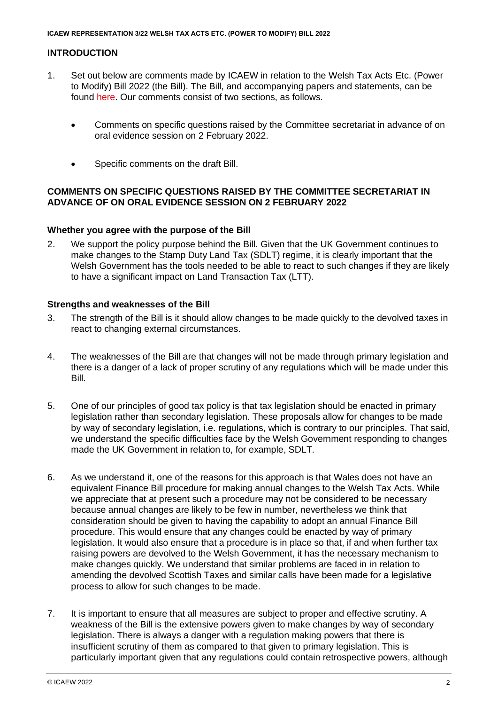# **INTRODUCTION**

- 1. Set out below are comments made by ICAEW in relation to the Welsh Tax Acts Etc. (Power to Modify) Bill 2022 (the Bill). The Bill, and accompanying papers and statements, can be found [here.](https://business.senedd.wales/mgIssueHistoryHome.aspx?IId=38480) Our comments consist of two sections, as follows.
	- Comments on specific questions raised by the Committee secretariat in advance of on oral evidence session on 2 February 2022.
	- Specific comments on the draft Bill.

# **COMMENTS ON SPECIFIC QUESTIONS RAISED BY THE COMMITTEE SECRETARIAT IN ADVANCE OF ON ORAL EVIDENCE SESSION ON 2 FEBRUARY 2022**

# **Whether you agree with the purpose of the Bill**

2. We support the policy purpose behind the Bill. Given that the UK Government continues to make changes to the Stamp Duty Land Tax (SDLT) regime, it is clearly important that the Welsh Government has the tools needed to be able to react to such changes if they are likely to have a significant impact on Land Transaction Tax (LTT).

# **Strengths and weaknesses of the Bill**

- 3. The strength of the Bill is it should allow changes to be made quickly to the devolved taxes in react to changing external circumstances.
- 4. The weaknesses of the Bill are that changes will not be made through primary legislation and there is a danger of a lack of proper scrutiny of any regulations which will be made under this Bill.
- 5. One of our principles of good tax policy is that tax legislation should be enacted in primary legislation rather than secondary legislation. These proposals allow for changes to be made by way of secondary legislation, i.e. regulations, which is contrary to our principles. That said, we understand the specific difficulties face by the Welsh Government responding to changes made the UK Government in relation to, for example, SDLT.
- 6. As we understand it, one of the reasons for this approach is that Wales does not have an equivalent Finance Bill procedure for making annual changes to the Welsh Tax Acts. While we appreciate that at present such a procedure may not be considered to be necessary because annual changes are likely to be few in number, nevertheless we think that consideration should be given to having the capability to adopt an annual Finance Bill procedure. This would ensure that any changes could be enacted by way of primary legislation. It would also ensure that a procedure is in place so that, if and when further tax raising powers are devolved to the Welsh Government, it has the necessary mechanism to make changes quickly. We understand that similar problems are faced in in relation to amending the devolved Scottish Taxes and similar calls have been made for a legislative process to allow for such changes to be made.
- 7. It is important to ensure that all measures are subject to proper and effective scrutiny. A weakness of the Bill is the extensive powers given to make changes by way of secondary legislation. There is always a danger with a regulation making powers that there is insufficient scrutiny of them as compared to that given to primary legislation. This is particularly important given that any regulations could contain retrospective powers, although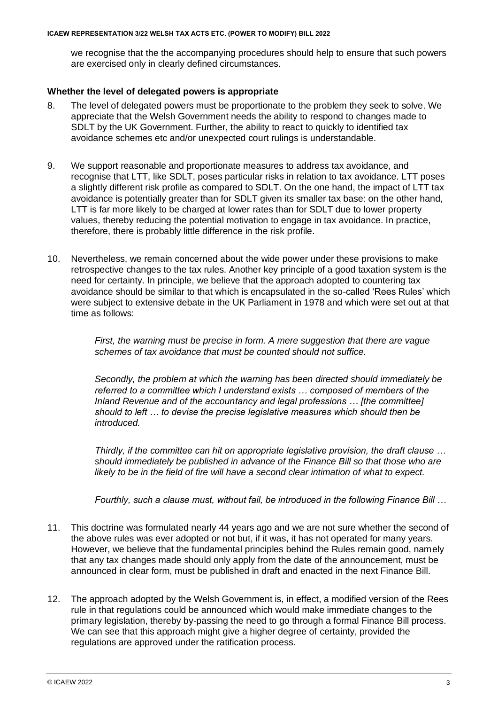we recognise that the the accompanying procedures should help to ensure that such powers are exercised only in clearly defined circumstances.

# **Whether the level of delegated powers is appropriate**

- 8. The level of delegated powers must be proportionate to the problem they seek to solve. We appreciate that the Welsh Government needs the ability to respond to changes made to SDLT by the UK Government. Further, the ability to react to quickly to identified tax avoidance schemes etc and/or unexpected court rulings is understandable.
- 9. We support reasonable and proportionate measures to address tax avoidance, and recognise that LTT, like SDLT, poses particular risks in relation to tax avoidance. LTT poses a slightly different risk profile as compared to SDLT. On the one hand, the impact of LTT tax avoidance is potentially greater than for SDLT given its smaller tax base: on the other hand, LTT is far more likely to be charged at lower rates than for SDLT due to lower property values, thereby reducing the potential motivation to engage in tax avoidance. In practice, therefore, there is probably little difference in the risk profile.
- 10. Nevertheless, we remain concerned about the wide power under these provisions to make retrospective changes to the tax rules. Another key principle of a good taxation system is the need for certainty. In principle, we believe that the approach adopted to countering tax avoidance should be similar to that which is encapsulated in the so-called 'Rees Rules' which were subject to extensive debate in the UK Parliament in 1978 and which were set out at that time as follows:

*First, the warning must be precise in form. A mere suggestion that there are vague schemes of tax avoidance that must be counted should not suffice.* 

*Secondly, the problem at which the warning has been directed should immediately be referred to a committee which I understand exists … composed of members of the Inland Revenue and of the accountancy and legal professions … [the committee] should to left … to devise the precise legislative measures which should then be introduced.* 

*Thirdly, if the committee can hit on appropriate legislative provision, the draft clause … should immediately be published in advance of the Finance Bill so that those who are likely to be in the field of fire will have a second clear intimation of what to expect.* 

*Fourthly, such a clause must, without fail, be introduced in the following Finance Bill …* 

- 11. This doctrine was formulated nearly 44 years ago and we are not sure whether the second of the above rules was ever adopted or not but, if it was, it has not operated for many years. However, we believe that the fundamental principles behind the Rules remain good, namely that any tax changes made should only apply from the date of the announcement, must be announced in clear form, must be published in draft and enacted in the next Finance Bill.
- 12. The approach adopted by the Welsh Government is, in effect, a modified version of the Rees rule in that regulations could be announced which would make immediate changes to the primary legislation, thereby by-passing the need to go through a formal Finance Bill process. We can see that this approach might give a higher degree of certainty, provided the regulations are approved under the ratification process.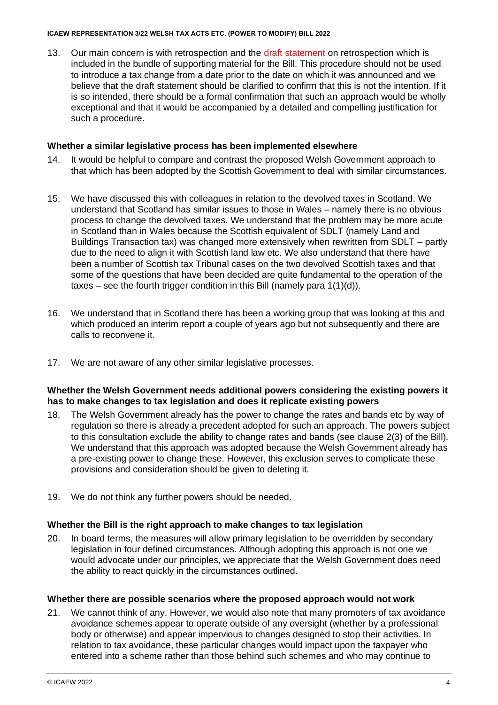#### **ICAEW REPRESENTATION 3/22 WELSH TAX ACTS ETC. (POWER TO MODIFY) BILL 2022**

13. Our main concern is with retrospection and the [draft statement](https://business.senedd.wales/documents/s120709/Draft%20statement%20on%20retrospection%20PDF,%20329KB.pdf) on retrospection which is included in the bundle of supporting material for the Bill. This procedure should not be used to introduce a tax change from a date prior to the date on which it was announced and we believe that the draft statement should be clarified to confirm that this is not the intention. If it is so intended, there should be a formal confirmation that such an approach would be wholly exceptional and that it would be accompanied by a detailed and compelling justification for such a procedure.

# **Whether a similar legislative process has been implemented elsewhere**

- 14. It would be helpful to compare and contrast the proposed Welsh Government approach to that which has been adopted by the Scottish Government to deal with similar circumstances.
- 15. We have discussed this with colleagues in relation to the devolved taxes in Scotland. We understand that Scotland has similar issues to those in Wales – namely there is no obvious process to change the devolved taxes. We understand that the problem may be more acute in Scotland than in Wales because the Scottish equivalent of SDLT (namely Land and Buildings Transaction tax) was changed more extensively when rewritten from SDLT – partly due to the need to align it with Scottish land law etc. We also understand that there have been a number of Scottish tax Tribunal cases on the two devolved Scottish taxes and that some of the questions that have been decided are quite fundamental to the operation of the taxes – see the fourth trigger condition in this Bill (namely para 1(1)(d)).
- 16. We understand that in Scotland there has been a working group that was looking at this and which produced an interim report a couple of years ago but not subsequently and there are calls to reconvene it.
- 17. We are not aware of any other similar legislative processes.

# **Whether the Welsh Government needs additional powers considering the existing powers it has to make changes to tax legislation and does it replicate existing powers**

- 18. The Welsh Government already has the power to change the rates and bands etc by way of regulation so there is already a precedent adopted for such an approach. The powers subject to this consultation exclude the ability to change rates and bands (see clause 2(3) of the Bill). We understand that this approach was adopted because the Welsh Government already has a pre-existing power to change these. However, this exclusion serves to complicate these provisions and consideration should be given to deleting it.
- 19. We do not think any further powers should be needed.

# **Whether the Bill is the right approach to make changes to tax legislation**

20. In board terms, the measures will allow primary legislation to be overridden by secondary legislation in four defined circumstances. Although adopting this approach is not one we would advocate under our principles, we appreciate that the Welsh Government does need the ability to react quickly in the circumstances outlined.

#### **Whether there are possible scenarios where the proposed approach would not work**

21. We cannot think of any. However, we would also note that many promoters of tax avoidance avoidance schemes appear to operate outside of any oversight (whether by a professional body or otherwise) and appear impervious to changes designed to stop their activities. In relation to tax avoidance, these particular changes would impact upon the taxpayer who entered into a scheme rather than those behind such schemes and who may continue to